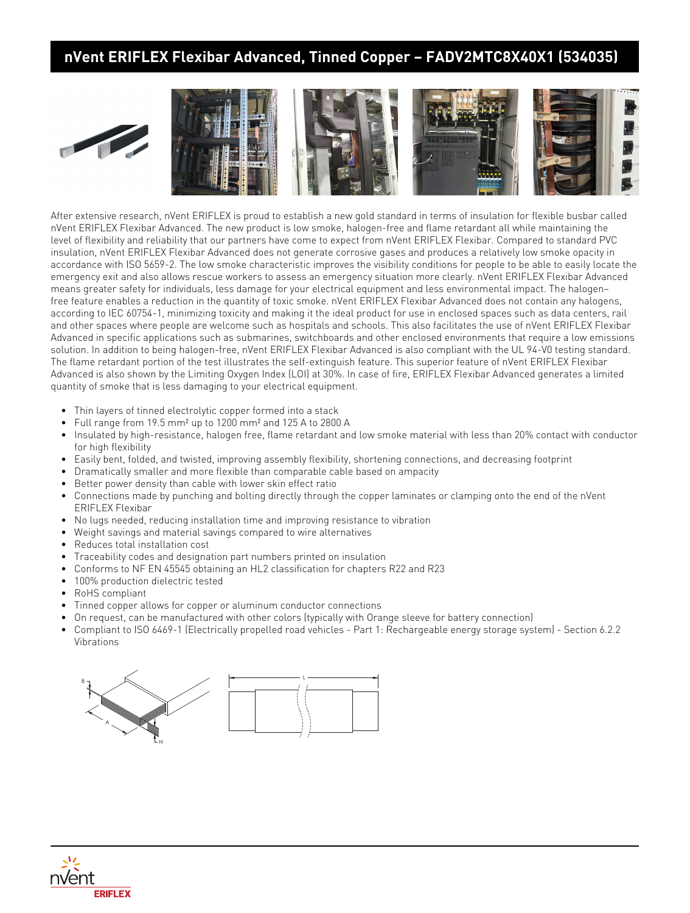## **nVent ERIFLEX Flexibar Advanced, Tinned Copper – FADV2MTC8X40X1 (534035)**





After extensive research, nVent ERIFLEX is proud to establish a new gold standard in terms of insulation for flexible busbar called nVent ERIFLEX Flexibar Advanced. The new product is low smoke, halogen-free and flame retardant all while maintaining the level of flexibility and reliability that our partners have come to expect from nVent ERIFLEX Flexibar. Compared to standard PVC insulation, nVent ERIFLEX Flexibar Advanced does not generate corrosive gases and produces a relatively low smoke opacity in accordance with ISO 5659-2. The low smoke characteristic improves the visibility conditions for people to be able to easily locate the emergency exit and also allows rescue workers to assess an emergency situation more clearly. nVent ERIFLEX Flexibar Advanced means greater safety for individuals, less damage for your electrical equipment and less environmental impact. The halogen– free feature enables a reduction in the quantity of toxic smoke. nVent ERIFLEX Flexibar Advanced does not contain any halogens, according to IEC 60754-1, minimizing toxicity and making it the ideal product for use in enclosed spaces such as data centers, rail and other spaces where people are welcome such as hospitals and schools. This also facilitates the use of nVent ERIFLEX Flexibar Advanced in specific applications such as submarines, switchboards and other enclosed environments that require a low emissions solution. In addition to being halogen-free, nVent ERIFLEX Flexibar Advanced is also compliant with the UL 94-V0 testing standard. The flame retardant portion of the test illustrates the self-extinguish feature. This superior feature of nVent ERIFLEX Flexibar Advanced is also shown by the Limiting Oxygen Index (LOI) at 30%. In case of fire, ERIFLEX Flexibar Advanced generates a limited quantity of smoke that is less damaging to your electrical equipment.

- Thin layers of tinned electrolytic copper formed into a stack
- Full range from 19.5 mm² up to 1200 mm² and 125 A to 2800 A
- Insulated by high-resistance, halogen free, flame retardant and low smoke material with less than 20% contact with conductor for high flexibility
- Easily bent, folded, and twisted, improving assembly flexibility, shortening connections, and decreasing footprint
- Dramatically smaller and more flexible than comparable cable based on ampacity
- Better power density than cable with lower skin effect ratio
- Connections made by punching and bolting directly through the copper laminates or clamping onto the end of the nVent ERIFLEX Flexibar
- No lugs needed, reducing installation time and improving resistance to vibration
- Weight savings and material savings compared to wire alternatives
- Reduces total installation cost
- Traceability codes and designation part numbers printed on insulation
- Conforms to NF EN 45545 obtaining an HL2 classification for chapters R22 and R23
- 100% production dielectric tested
- RoHS compliant
- Tinned copper allows for copper or aluminum conductor connections
- On request, can be manufactured with other colors (typically with Orange sleeve for battery connection)
- Compliant to ISO 6469-1 (Electrically propelled road vehicles Part 1: Rechargeable energy storage system) Section 6.2.2 Vibrations



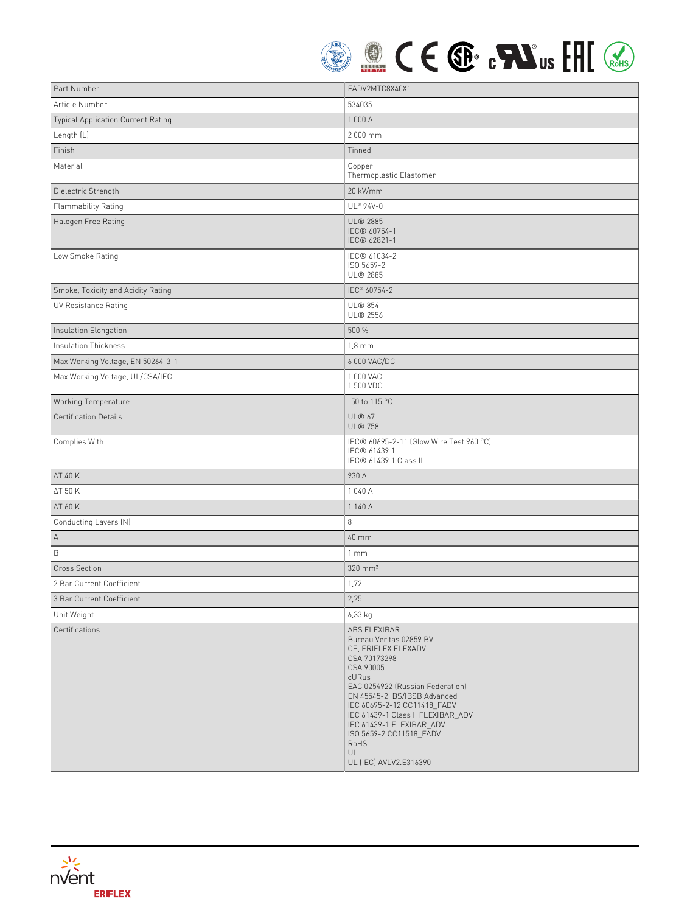

| Part Number                        | FADV2MTC8X40X1                                                                                                                                                                                                                                                                                                                              |
|------------------------------------|---------------------------------------------------------------------------------------------------------------------------------------------------------------------------------------------------------------------------------------------------------------------------------------------------------------------------------------------|
| Article Number                     | 534035                                                                                                                                                                                                                                                                                                                                      |
| Typical Application Current Rating | 1 000 A                                                                                                                                                                                                                                                                                                                                     |
| Length (L)                         | 2 000 mm                                                                                                                                                                                                                                                                                                                                    |
| Finish                             | Tinned                                                                                                                                                                                                                                                                                                                                      |
| Material                           | Copper<br>Thermoplastic Elastomer                                                                                                                                                                                                                                                                                                           |
| Dielectric Strength                | 20 kV/mm                                                                                                                                                                                                                                                                                                                                    |
| Flammability Rating                | UL® 94V-0                                                                                                                                                                                                                                                                                                                                   |
| Halogen Free Rating                | <b>UL® 2885</b><br>IEC® 60754-1<br>IEC® 62821-1                                                                                                                                                                                                                                                                                             |
| Low Smoke Rating                   | IEC® 61034-2<br>ISO 5659-2<br>UL® 2885                                                                                                                                                                                                                                                                                                      |
| Smoke, Toxicity and Acidity Rating | IEC <sup>®</sup> 60754-2                                                                                                                                                                                                                                                                                                                    |
| UV Resistance Rating               | <b>UL® 854</b><br>UL® 2556                                                                                                                                                                                                                                                                                                                  |
| Insulation Elongation              | 500 %                                                                                                                                                                                                                                                                                                                                       |
| Insulation Thickness               | $1,8$ mm                                                                                                                                                                                                                                                                                                                                    |
| Max Working Voltage, EN 50264-3-1  | 6 000 VAC/DC                                                                                                                                                                                                                                                                                                                                |
| Max Working Voltage, UL/CSA/IEC    | 1 000 VAC<br>1 500 VDC                                                                                                                                                                                                                                                                                                                      |
| Working Temperature                | -50 to 115 °C                                                                                                                                                                                                                                                                                                                               |
| <b>Certification Details</b>       | <b>UL® 67</b><br><b>UL® 758</b>                                                                                                                                                                                                                                                                                                             |
| Complies With                      | IEC® 60695-2-11 (Glow Wire Test 960 °C)<br>IEC® 61439.1<br>IEC® 61439.1 Class II                                                                                                                                                                                                                                                            |
| <b>ΔT 40 K</b>                     | 930 A                                                                                                                                                                                                                                                                                                                                       |
| ΔT 50 K                            | 1040 A                                                                                                                                                                                                                                                                                                                                      |
| ΔT 60 K                            | 1 140 A                                                                                                                                                                                                                                                                                                                                     |
| Conducting Layers (N)              | 8                                                                                                                                                                                                                                                                                                                                           |
| Α                                  | 40 mm                                                                                                                                                                                                                                                                                                                                       |
| $\mathsf B$                        | 1mm                                                                                                                                                                                                                                                                                                                                         |
| <b>Cross Section</b>               | $320$ mm <sup>2</sup>                                                                                                                                                                                                                                                                                                                       |
| 2 Bar Current Coefficient          | 1,72                                                                                                                                                                                                                                                                                                                                        |
| 3 Bar Current Coefficient          | 2,25                                                                                                                                                                                                                                                                                                                                        |
| Unit Weight                        | 6,33 kg                                                                                                                                                                                                                                                                                                                                     |
| Certifications                     | ABS FLEXIBAR<br>Bureau Veritas 02859 BV<br>CE, ERIFLEX FLEXADV<br>CSA 70173298<br>CSA 90005<br>cURus<br>EAC 0254922 (Russian Federation)<br>EN 45545-2 IBS/IBSB Advanced<br>IEC 60695-2-12 CC11418 FADV<br>IEC 61439-1 Class II FLEXIBAR_ADV<br>IEC 61439-1 FLEXIBAR_ADV<br>ISO 5659-2 CC11518_FADV<br>RoHS<br>UL<br>UL (IEC) AVLV2.E316390 |